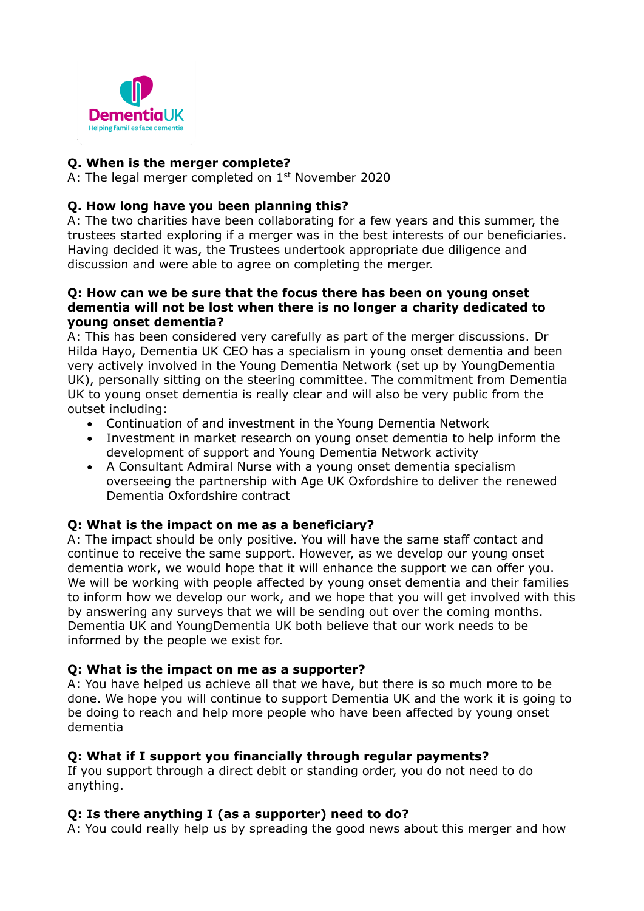

## **Q. When is the merger complete?**

A: The legal merger completed on 1<sup>st</sup> November 2020

## **Q. How long have you been planning this?**

A: The two charities have been collaborating for a few years and this summer, the trustees started exploring if a merger was in the best interests of our beneficiaries. Having decided it was, the Trustees undertook appropriate due diligence and discussion and were able to agree on completing the merger.

#### **Q: How can we be sure that the focus there has been on young onset dementia will not be lost when there is no longer a charity dedicated to young onset dementia?**

A: This has been considered very carefully as part of the merger discussions. Dr Hilda Hayo, Dementia UK CEO has a specialism in young onset dementia and been very actively involved in the Young Dementia Network (set up by YoungDementia UK), personally sitting on the steering committee. The commitment from Dementia UK to young onset dementia is really clear and will also be very public from the outset including:

- Continuation of and investment in the Young Dementia Network
- Investment in market research on young onset dementia to help inform the development of support and Young Dementia Network activity
- A Consultant Admiral Nurse with a young onset dementia specialism overseeing the partnership with Age UK Oxfordshire to deliver the renewed Dementia Oxfordshire contract

## **Q: What is the impact on me as a beneficiary?**

A: The impact should be only positive. You will have the same staff contact and continue to receive the same support. However, as we develop our young onset dementia work, we would hope that it will enhance the support we can offer you. We will be working with people affected by young onset dementia and their families to inform how we develop our work, and we hope that you will get involved with this by answering any surveys that we will be sending out over the coming months. Dementia UK and YoungDementia UK both believe that our work needs to be informed by the people we exist for.

## **Q: What is the impact on me as a supporter?**

A: You have helped us achieve all that we have, but there is so much more to be done. We hope you will continue to support Dementia UK and the work it is going to be doing to reach and help more people who have been affected by young onset dementia

## **Q: What if I support you financially through regular payments?**

If you support through a direct debit or standing order, you do not need to do anything.

## **Q: Is there anything I (as a supporter) need to do?**

A: You could really help us by spreading the good news about this merger and how